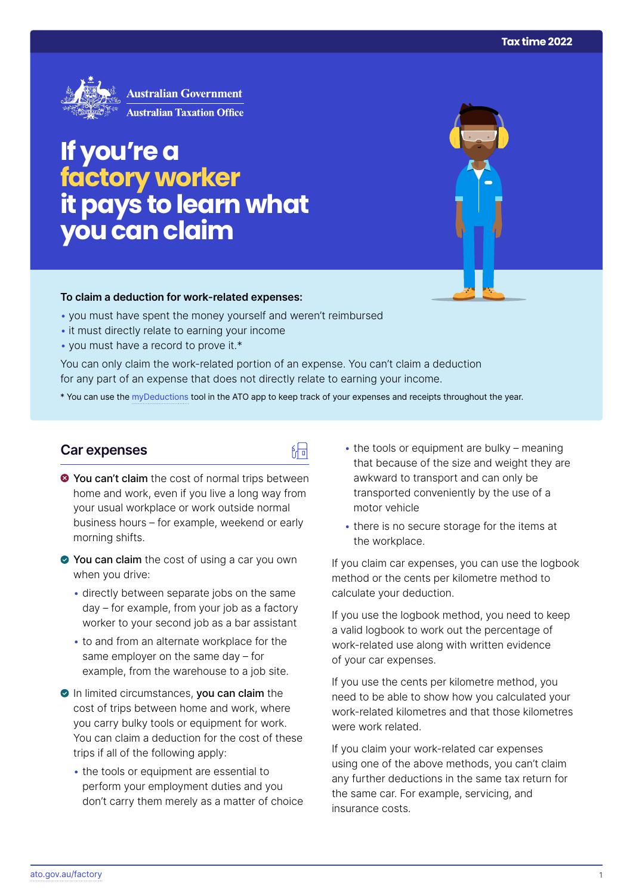

# **If you're a factory worker itpays to learn what you can claim**

#### **To claim a deduction for work‑related expenses:**

- you must have spent the money yourself and weren't reimbursed
- it must directly relate to earning your income
- you must have a record to prove it.\*

You can only claim the work-related portion of an expense. You can't claim a deduction for any part of an expense that does not directly relate to earning your income.

\* You can use the [myDeductions](https://ato.gov.au/mydeductions) tool in the ATO app to keep track of your expenses and receipts throughout the year.

品

#### **Car expenses**

- $\bullet$  You can't claim the cost of normal trips between home and work, even if you live a long way from your usual workplace or work outside normal business hours – for example, weekend or early morning shifts.
- ◆ You can claim the cost of using a car you own when you drive:
	- directly between separate jobs on the same day – for example, from your job as a factory worker to your second job as a bar assistant
	- to and from an alternate workplace for the same employer on the same day – for example, from the warehouse to a job site.
- In limited circumstances, you can claim the cost of trips between home and work, where you carry bulky tools or equipment for work. You can claim a deduction for the cost of these trips if all of the following apply:
	- the tools or equipment are essential to perform your employment duties and you don't carry them merely as a matter of choice
- $\cdot$  the tools or equipment are bulky meaning that because of the size and weight they are awkward to transport and can only be transported conveniently by the use of a motor vehicle
- there is no secure storage for the items at the workplace.

If you claim car expenses, you can use the logbook method or the cents per kilometre method to calculate your deduction.

If you use the logbook method, you need to keep a valid logbook to work out the percentage of work-related use along with written evidence of your car expenses.

If you use the cents per kilometre method, you need to be able to show how you calculated your work-related kilometres and that those kilometres were work related.

If you claim your work-related car expenses using one of the above methods, you can't claim any further deductions in the same tax return for the same car. For example, servicing, and insurance costs.